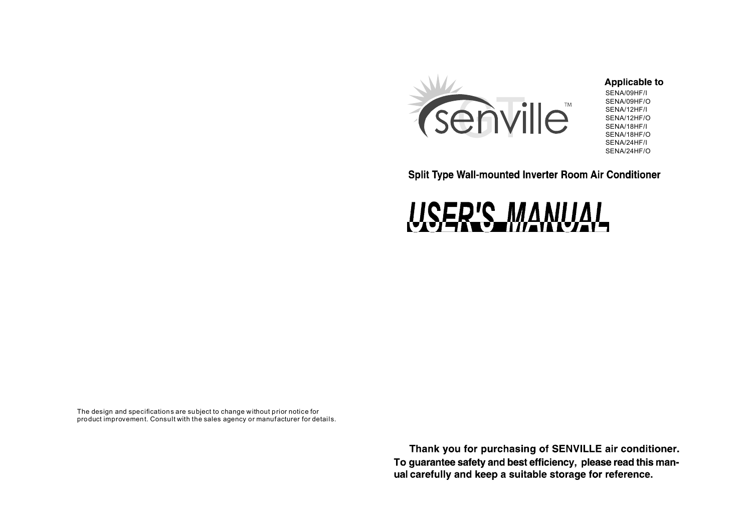

# **Applicable to**

SENA/09HF/I SENA/09HF/O SENA/12HF/I SENA/12HF/O SENA/18HF/I SENA/18HF/O SENA/24HF/I SENA/24HF/O

Split Type Wall-mounted Inverter Room Air Conditioner



The design and specifications are subject to change without prior notice for product improvement. Consult with the sales agency or manufacturer for details.

> Thank you for purchasing of SENVILLE air conditioner. To guarantee safety and best efficiency, please read this manual carefully and keep a suitable storage for reference.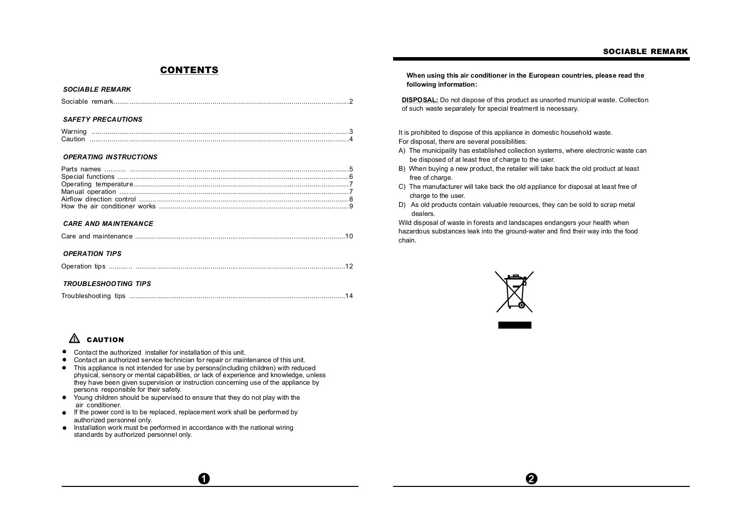## **CONTENTS**

### *SOCIABLE REMARK*

|--|--|--|--|

### *SAFETY PRECAUTIONS*

## *OPERATING INSTRUCTIONS*

## *CARE AND MAINTENANCE*

|--|

## *OPERATION TIPS*

| <b>TROUBLESHOOTING TIPS</b> |  |
|-----------------------------|--|
|                             |  |

# **CAUTION**

- $\bullet$ Contact the authorized installer for installation of this unit.
- Contact an authorized service technician for repair or maintenance of this unit. ٠
- This appliance is not intended for use by persons(including children) with reduced  $\bullet$ physical, sensory or mental capabilities, or lack of experience and knowledge, unless they have been given supervision or instruction concerning use of the appliance by persons responsible for their safety.

 $\mathbf 0$ 

- $\bullet$ Young children should be supervised to ensure that they do not play with the air conditioner.
- If the power cord is to be replaced, replacement work shall be performed by authorized personnel only.
- Installation work must be performed in accordance with the national wiring standards by authorized personnel only.

**When using this air conditioner in the European countries, please read the following information:**

**DISPOSAL:** Do not dispose of this product as unsorted municipal waste. Collection of such waste separately for special treatment is necessary.

It is prohibited to dispose of this appliance in domestic household waste.

For disposal, there are several possibilities:

- A) The municipality has established collection systems, where electronic waste can be disposed of at least free of charge to the user.
- B) When buying a new product, the retailer will take back the old product at least free of charge.
- C) The manufacturer will take back the old appliance for disposal at least free of charge to the user.
- D) As old products contain valuable resources, they can be sold to scrap metal dealers.

Wild disposal of waste in forests and landscapes endangers your health when hazardous substances leak into the ground-water and find their way into the food chain.



 $\boldsymbol{\Omega}$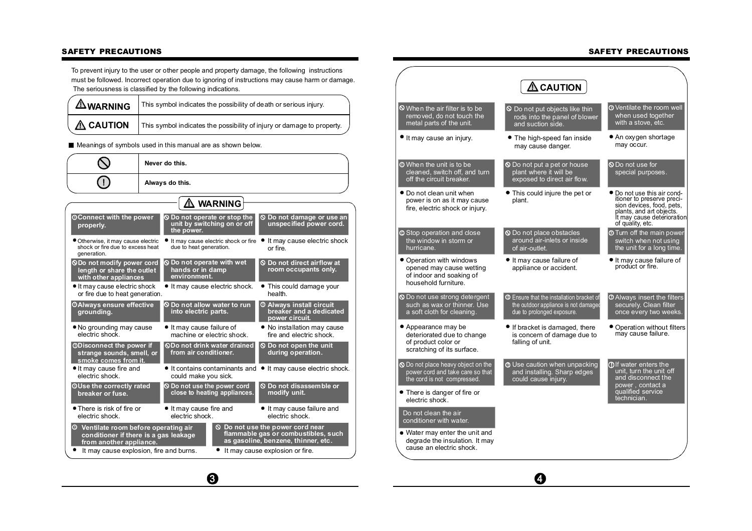## **SAFETY PRECAUTIONS**

To prevent injury to the user or other people and property damage, the following instructions must be followed. Incorrect operation due to ignoring of instructions may cause harm or damage. The seriousness is classified by the following indications.

| $\triangle$ WARNING | This symbol indicates the possibility of death or serious injury.      |  |
|---------------------|------------------------------------------------------------------------|--|
| $\triangle$ CAUTION | This symbol indicates the possibility of injury or damage to property. |  |

## Meanings of symbols used in this manual are as shown below.

**SAFETY PRECAUTIONS**

|                                                                                                                                                                                                                                              | Never do this.                                                             |                                                                           |  |                                                                              |
|----------------------------------------------------------------------------------------------------------------------------------------------------------------------------------------------------------------------------------------------|----------------------------------------------------------------------------|---------------------------------------------------------------------------|--|------------------------------------------------------------------------------|
|                                                                                                                                                                                                                                              | Always do this.                                                            |                                                                           |  |                                                                              |
|                                                                                                                                                                                                                                              |                                                                            | $\Delta$ warning                                                          |  |                                                                              |
| <b>OConnect with the power</b><br>properly.                                                                                                                                                                                                  |                                                                            | O Do not operate or stop the<br>unit by switching on or off<br>the power. |  | O Do not damage or use an<br>unspecified power cord.                         |
| Otherwise, it may cause electric<br>shock or fire due to excess heat<br>generation.                                                                                                                                                          |                                                                            | It may cause electric shock or fire<br>due to heat generation.            |  | It may cause electric shock<br>or fire                                       |
| <b>ODo not modify power cord</b><br>length or share the outlet<br>with other appliances                                                                                                                                                      |                                                                            | <b>O</b> Do not operate with wet<br>hands or in damp<br>environment.      |  | <b>S</b> Do not direct airflow at<br>room occupants only.                    |
| It may cause electric shock<br>or fire due to heat generation.                                                                                                                                                                               |                                                                            | • It may cause electric shock.                                            |  | • This could damage your<br>health.                                          |
| <b>OAIways ensure effective</b><br>grounding.                                                                                                                                                                                                |                                                                            | O Do not allow water to run<br>into electric parts.                       |  | <b>O Always install circuit</b><br>breaker and a dedicated<br>power circuit. |
| • No grounding may cause<br>electric shock.                                                                                                                                                                                                  |                                                                            | • It may cause failure of<br>machine or electric shock.                   |  | • No installation may cause<br>fire and electric shock.                      |
| <b>ODisconnect the power if</b><br>strange sounds, smell, or<br>smoke comes from it.                                                                                                                                                         |                                                                            | <b>ODo not drink water drained</b><br>from air conditioner.               |  | <b>S</b> Do not open the unit<br>during operation.                           |
| It may cause fire and<br>electric shock.                                                                                                                                                                                                     |                                                                            | could make you sick.                                                      |  | • It contains contaminants and • It may cause electric shock.                |
| OUse the correctly rated<br>breaker or fuse.                                                                                                                                                                                                 |                                                                            | O Do not use the power cord<br>close to heating appliances.               |  | <b>S</b> Do not disassemble or<br>modify unit.                               |
| • There is risk of fire or<br>electric shock.                                                                                                                                                                                                |                                                                            | • It may cause fire and<br>electric shock.                                |  | • It may cause failure and<br>electric shock.                                |
| <sup>1</sup> Ventilate room before operating air<br>$\odot$ Do not use the power cord near<br>flammable gas or combustibles, such<br>conditioner if there is a gas leakage<br>as gasoline, benzene, thinner, etc.<br>from another appliance. |                                                                            |                                                                           |  |                                                                              |
|                                                                                                                                                                                                                                              | It may cause explosion, fire and burns.<br>It may cause explosion or fire. |                                                                           |  |                                                                              |

 $\odot$ 

|                                                                                                          | $\Delta$ CAUTION $\,$                                                                                                  |                                                                                                                                                                    |
|----------------------------------------------------------------------------------------------------------|------------------------------------------------------------------------------------------------------------------------|--------------------------------------------------------------------------------------------------------------------------------------------------------------------|
| $\odot$ When the air filter is to be<br>removed, do not touch the<br>metal parts of the unit.            | $\circledcirc$ Do not put objects like thin<br>rods into the panel of blower<br>and suction side.                      | <b>O</b> Ventilate the room well<br>when used together<br>with a stove, etc.                                                                                       |
| • It may cause an injury.                                                                                | The high-speed fan inside<br>may cause danger.                                                                         | • An oxygen shortage<br>may occur.                                                                                                                                 |
| <b>O</b> When the unit is to be<br>cleaned, switch off, and turn<br>off the circuit breaker.             | <b>O</b> Do not put a pet or house<br>plant where it will be<br>exposed to direct air flow.                            | <b>Q</b> Do not use for<br>special purposes.                                                                                                                       |
| ● Do not clean unit when<br>power is on as it may cause<br>fire, electric shock or injury.               | • This could injure the pet or<br>plant.                                                                               | Do not use this air cond-<br>itioner to preserve preci-<br>sion devices, food, pets,<br>plants, and art objects.<br>It may cause deterioration<br>of quality, etc. |
| <b>O</b> Stop operation and close<br>the window in storm or<br>hurricane.                                | <b>O</b> Do not place obstacles<br>around air-inlets or inside<br>of air-outlet.                                       | <b>Turn</b> off the main power<br>switch when not using<br>the unit for a long time.                                                                               |
| • Operation with windows<br>opened may cause wetting<br>of indoor and soaking of<br>household furniture. | It may cause failure of<br>appliance or accident.                                                                      | It may cause failure of<br>product or fire.                                                                                                                        |
| <b>O</b> Do not use strong detergent<br>such as wax or thinner. Use<br>a soft cloth for cleaning.        | <b>O</b> Ensure that the installation bracket of<br>the outdoor appliance is not damaged<br>due to prolonged exposure. | <b>O</b> Always insert the filters<br>securely. Clean filter<br>once every two weeks.                                                                              |
| • Appearance may be<br>deteriorated due to change<br>of product color or<br>scratching of its surface.   | If bracket is damaged, there<br>is concern of damage due to<br>falling of unit.                                        | ● Operation without filters<br>may cause failure.                                                                                                                  |
| O Do not place heavy object on the<br>power cord and take care so that<br>the cord is not compressed.    | <b>1</b> Use caution when unpacking<br>and installing. Sharp edges<br>could cause injury.                              | <b>O</b> If water enters the<br>unit, turn the unit off<br>and disconnect the<br>power, contact a                                                                  |
| • There is danger of fire or<br>electric shock.                                                          |                                                                                                                        | qualified service<br>technician.                                                                                                                                   |
| Do not clean the air<br>conditioner with water.                                                          |                                                                                                                        |                                                                                                                                                                    |
| • Water may enter the unit and<br>degrade the insulation. It may<br>cause an electric shock.             |                                                                                                                        |                                                                                                                                                                    |

 $\boldsymbol{\Theta}$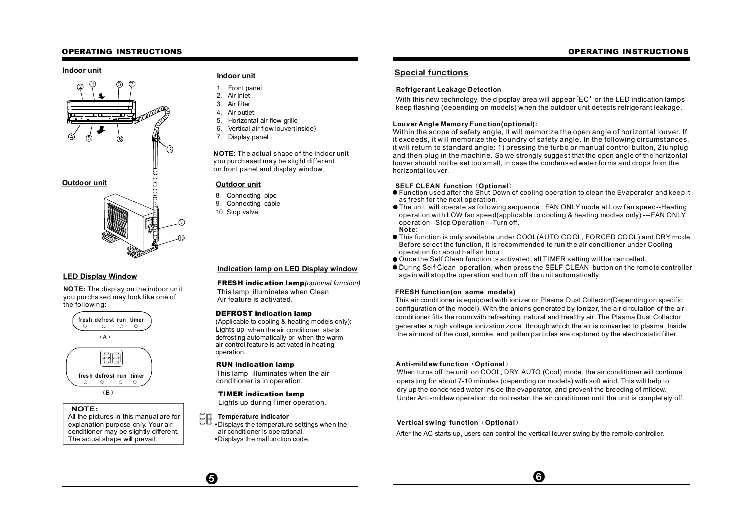## **OPERATING INSTRUCTIONS OPERATING INSTRUCTIONS**



## **LED Display Window**

**NOTE:** The display on the indoor unit you purchased may look like one of the following:



## **NOTE:**

All the pictures in this manual are for explanation purpose only. Your air conditioner may be slightly different. The actual shape will prevail.

- 1. Front panel
- 2. Air inlet
- 3. Air filter
- 4. Air outlet
- 5. Horizontal air flow grille
- 6. Vertical air flow louver(inside)
- 7. Display panel

**NOTE:** The actual shape of the indoor unit you purchased may be slight different on front panel and display window.

- 8. Connecting pipe
- 9. Connecting cable
- 10. Stop valve

## **Indication lamp on LED Display window**

**FRESH indication lamp***(optional function)*

This lamp illuminates when Clean Air feature is activated.

### **DEFROST indication lamp**

(Applicable to cooling & heating models only): Lights up when the air conditioner starts defrosting automatically or when the warm air control feature is activated in heating operation.

### **RUN indication lamp**

This lamp illuminates when the air conditioner is in operation.

## **TIMER indication lamp**

Lights up during Timer operation.

#### 88 **Temperature indicator**

Displays the temperature settings when the air conditioner is operational. Displays the malfunction code.

# **Indoor unit Indoor unit Special functions**

#### **Refrige rant Leakage Detection**

кеттуеталт ∟еакауе оетестоп<br>With this new technology, the dipsplay area will appear 'EC' or the LED indication lamps keep flashing (depending on models) when the outdoor unit detects refrigerant leakage.

## **Louver Angle Memory Func tion(op tional):**

Within the scope of safety angle, it will memorize the open angle of horizontal louver. If it exceeds, it will memorize the boundry of safety angle. In the following circumstances, it will return to standard angle: 1) pressing the turbo or manual control button, 2)unplug and then plug in the machine. So we strongly suggest that the open angle of the horizontal louver should not be set too small, in c ase the condensed water forms and drops from the horizontal louver.

## **SELF CLEAN function (Optional)**

- Function used after the Shut Down of cooling operation to clean the Evaporator and keep it as fresh for the next operation.
- The unit will operate as following sequence : FAN ONLY mode at Low fan speed--Heating operation with LOW fan speed(applicable to cooling & heating modles only) ---FAN ONLY operation--Stop Operation---Turn off.

## **Not e:**

- This function is only available under COOL(AUTO COOL, FORCED COOL) and DRY mode. Before selec t the function, it is recommended to run the air conditioner under Cooling operation for about half an hour.
- Once the Self Clean function is activated, all TIMER setting will be cancelled.
- During Self Clean operation, when press the SELF CLEAN button on the remote controller again will stop the operation and turn off the unit automatically.

### **FRESH function(on some models)**

This air conditioner is equipped with ionizer or Plasma Dust Collector(Depending on specific configuration of the model). With the anions generated by Ionizer, the air circulation of the air conditioner fills the room with refreshing, natural and healthy air. The Plasma Dust Collector generates a high voltage ionization zone, through which the air is converted to plasma. Inside the air most of the dust, smoke, and pollen particles are captured by the electrostatic filter.

### **Anti-mildew function (Optional)**

When turns off the unit on COOL, DRY, AUTO (Cool) mode, the air conditioner will continue operating for about 7-10 minutes (depending on models) with soft wind. This will help to dry up the condensed water inside the evaporator, and prevent the breeding of mildew. Under Anti-mildew operation, do not restart the air conditioner until the unit is completely off.

## **Vertical swing function (Optional)**

After the AC starts up, users can control the vertical louver swing by the remote controller.

0

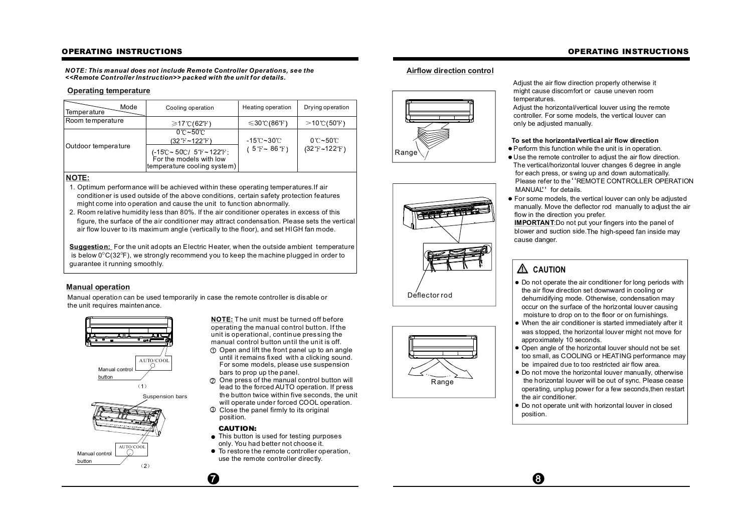## **OPERATING INSTRUCTIONS**

*NOTE: This manual does not include Remo te Controller Operations, se e the <<Remote Cont roller Instruction>> packed with the unit for details.*

## **Operating temperature**

| Mode<br>Temperature | Cooling operation                                                              | Heating operation         | Drying operation              |
|---------------------|--------------------------------------------------------------------------------|---------------------------|-------------------------------|
| Room temperature    | $\geq 17^{\circ}$ C(62°F)                                                      | $\leq 30^{\circ}$ C(86°F) | $>$ 10℃(50°F)                 |
|                     | $0^{\circ}$ C~50 $^{\circ}$ C<br>(32°F~122°F)                                  | -15℃~30℃                  | $0^{\circ}$ C~50 $^{\circ}$ C |
| Outdoor temperature | (-15℃~50℃/5°F~122°F:<br>For the models with low<br>temperature cooling system) | (5 T ~ 86 T)              | $(32 T - 122 T)$              |

## **NOTE:**

- 1. Optimum performance will be achieved within these operating temperatures.If air conditioner is used outside of the above conditions, certain safety protection features might come into operation and cause the unit to function abnormally.
- 2. Room relative humidity less than 80%. If the air conditioner operates in excess of this figure, the surface of the air conditioner may attract condensation. Please sets the vertical air flow louver to its maximum angle (vertically to the floor), and set HIGH fan mode.

**Suggestion:** For the unit adopts an Electric Heater, when the outside ambient temperature is below 0 $^{\circ}$ C(32 $^{\circ}$ F), we strongly recommend you to keep the machine plugged in order to guarantee it running smoothly.

## **Manual operation**

Manual operation can be used temporarily in case the remote controller is disable or the unit requires maintenance.



**NOTE:** The unit must be turned off before operating the manual control button. If the unit is operational, continue pressing the manual control button until the unit is off.

- $\mathfrak D$  Open and lift the front panel up to an angle until it remains fixed with a clicking sound. For some models, please use suspension bars to prop up the panel.
- $\mathfrak D$  . One press of the manual control button will lead to the forced AUTO operation. If press the button twice within five seconds, the unit will operate under forced COOL operation.
- Close the panel firmly to its original 3 position.

## **CAUTION:**

 $\boldsymbol{a}$ 

- This button is used for testing purposes only. You had better not choose it.
- To restore the remote controller operation, use the remote controller directly.

## **Airflow direction control**





Range

Adjust the air flow direction properly otherwise it might cause discomfort or cause uneven room temperatures.

Adjust the horizontal/vertical louver using the remote controller. For some models, the vertical louver can only be adjusted manually.

## **To set the horizontal/vertical air flow direction**

- Perform this function while the unit is in operation.
- Use the remote controller to adjust the air flow direction. The vertical/horizontal louver changes 6 degree in angle for each press, or swing up and down automatically. Please refer to the "REMOTE CONTROLLER OPERATION riease refer to the Ri<br>MANUAL'' for details.
- For some models, the vertical louver can only be adjusted manually. Move the deflector rod manually to adjust the air flow in the direction you prefer.

**IMPORTANT:** Do not put your fingers into the panel of blower and suction side. The high-speed fan inside may cause danger.

# **A** CAUTION

⊕

- Do not operate the air conditioner for long periods with the air flow direction set downward in cooling or dehumidifying mode. Otherwise, condensation may occur on the surface of the horizontal louver causing moisture to drop on to the floor or on furnishings.
- When the air conditioner is started immediately after it was stopped, the horizontal louver might not move for approximately 10 seconds.
- Open angle of the horizontal louver should not be set too small, as COOLING or HEATING performance may be impaired due to too restricted air flow area.
- Do not move the horizontal louver manually, otherwise the horizontal louver will be out of sync. Please cease operating, unplug power for a few seconds,then restart the air conditioner.
- Do not operate unit with horizontal louver in closed position.

## **OPERATING INSTRUCTIONS**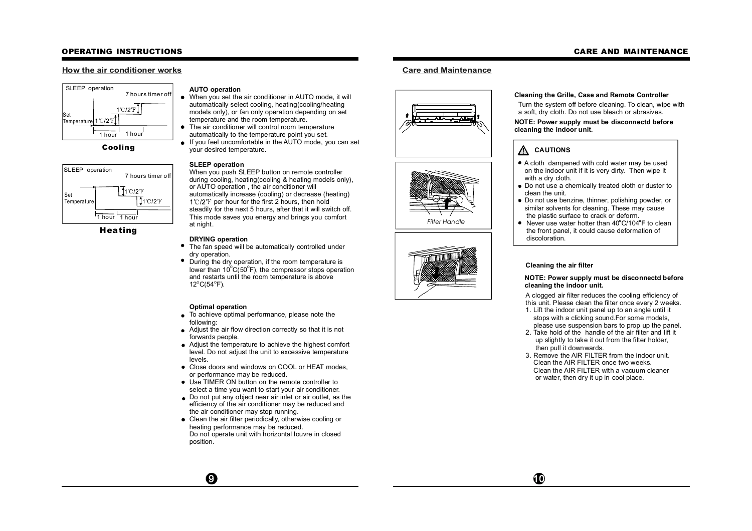## **OPERATING INSTRUCTIONS**

## **How the air conditioner works**



**Cooling**



**Heating**

## **AUTO operation**

- When you set the air conditioner in AUTO mode, it will automatically select cooling, heating(cooling/heating models only), or fan only operation depending on set temperature and the room temperature.
- $\bullet$ The air conditioner will control room temperature automatically to the temperature point you set.
- If you feel uncomfortable in the AUTO mode, you can set  $\bullet$ your desired temperature.

## **SLEEP operation**

When you push SLEEP button on remote controller during cooling, heating(cooling & heating models only), or AUTO operation , the air conditioner will automatically increase (cooling) or decrease (heating)  $1^{\circ}$  (2°F per hour for the first 2 hours, then hold steadily for the next 5 hours, after that it will switch off. This mode saves you energy and brings you comfort at night.

## **DRYING operation**

- The fan speed will be automatically controlled under dry operation.
- $\bullet$ During the dry operation, if the room temperature is lower than 10 $\mathrm{^{\circ}C(50^{\circ}F)}$ , the compressor stops operation and restarts until the room temperature is above  $12^{\circ}$ C(54 $^{\circ}$ F).

## **Optimal operation**

 $\boldsymbol{0}$ 

- $\bullet$  To achieve optimal performance, please note the following:
- Adjust the air flow direction correctly so that it is not forwards people.
- Adjust the temperature to achieve the highest comfort level. Do not adjust the unit to excessive temperature levels.
- Close doors and windows on COOL or HEAT modes. or performance may be reduced.
- Use TIMER ON button on the remote controller to select a time you want to start your air conditioner.
- Do not put any object near air inlet or air outlet, as the efficiency of the air conditioner may be reduced and the air conditioner may stop running.
- Clean the air filter periodically, otherwise cooling or heating performance may be reduced. Do not operate unit with horizontal louvre in closed position.

# **Care and Maintenance**





*Filter Handle*



## **Cleaning the Grille, Case and Remote Controller**

Turn the system off before cleaning. To clean, wipe with a soft, dry cloth. Do not use bleach or abrasives.

#### **NOTE: Power supply must be disconnectd before cleaning the indoor unit.**

# **CAUTIONS**

- A cloth dampened with cold water may be used on the indoor unit if it is very dirty. Then wipe it with a dry cloth.
- Do not use a chemically treated cloth or duster to clean the unit.
- Do not use benzine, thinner, polishing powder, or similar solvents for cleaning. These may cause the plastic surface to crack or deform.
- $\bullet$  Never use water hotter than 40°C/104°F to clean the front panel, it could cause deformation of discoloration.

### **Cleaning the air filter**

 $\bf \Phi$ 

#### **NOTE: Power supply must be disconnectd before cleaning the indoor unit.**

A clogged air filter reduces the cooling efficiency of this unit. Please clean the filter once every 2 weeks.

- 1. Lift the indoor unit panel up to an angle until it stops with a clicking sound.For some models, please use suspension bars to prop up the panel.
- 2. Take hold of the handle of the air filter and lift it up slightly to take it out from the filter holder, then pull it downwards.
- 3. Remove the AIR FILTER from the indoor unit. Clean the AIR FILTER once two weeks. Clean the AIR FILTER with a vacuum cleaner or water, then dry it up in cool place.

## **CARE AND MAINTENANCE**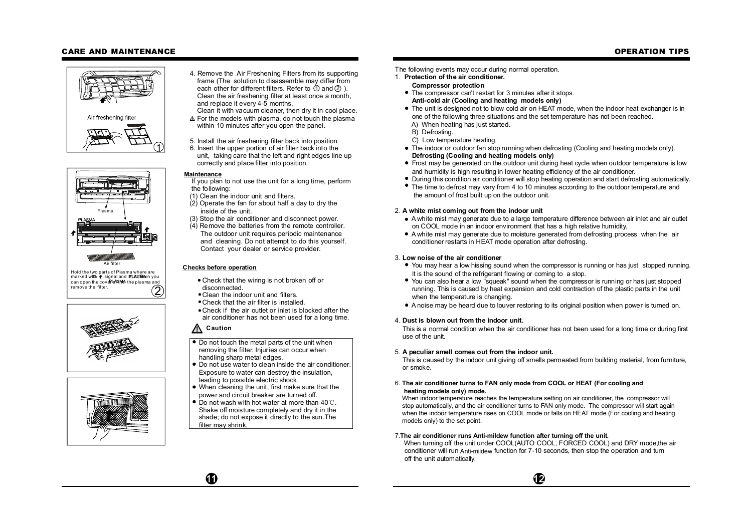## **CARE AND MAINTENANCE**

## **OPERATION TIPS**





2 Hold the two parts of Plasma where are mold the two parts of Figure where are<br>marked with  $\uparrow$  signal and IFILASWHen you can open the cover of the plasma and remove the filter.





- 4. Remove the Air Freshening Filters from its supporting frame (The solution to disassemble may differ from each other for different filters. Refer to  $\Diamond$  and  $\Diamond$  ). Clean the air freshening filter at least once a month, and replace it every 4-5 months.
- Clean it with vacuum cleaner, then dry it in cool place. For the models with plasma, do not touch the plasma within 10 minutes after you open the panel.
- 5. Install the air freshening filter back into position.
- 6. Insert the upper portion of air filter back into the unit, taking care that the left and right edges line up correctly and place filter into position.

### **Maintenance**

- If you plan to not use the unit for a long time, perform the following:
- (1) Clean the indoor unit and filters.
- (2) Operate the fan for about half a day to dry the inside of the unit.
- (3) Stop the air conditioner and disconnect power.
- (4) Remove the batteries from the remote controller. The outdoor unit requires periodic maintenance and cleaning. Do not attempt to do this yourself. Contact your dealer or service provider.

## **Checks before operation**

- Check that the wiring is not broken off or disconnected.
- Clean the indoor unit and filters.
- Check that the air filter is installed.
- Check if the air outlet or inlet is blocked after the air conditioner has not been used for a long time.

## **Caution**

- Do not touch the metal parts of the unit when removing the filter. Injuries can occur when handling sharp metal edges.
- Do not use water to clean inside the air conditioner. Exposure to water can destroy the insulation, leading to possible electric shock.
- When cleaning the unit, first make sure that the power and circuit breaker are turned off.
- Do not wash with hot water at more than 40 $\degree$ C. Shake off moisture completely and dry it in the shade; do not expose it directly to the sun.The filter may shrink.
- The following events may occur during normal operation.
- 1. **Protection of the air conditioner.**
	- **Compressor protection**
	- The compressor can't restart for 3 minutes after it stops. **Anti-cold air (Cooling and heating models only)**
	- The unit is designed not to blow cold air on HEAT mode, when the indoor heat exchanger is in one of the following three situations and the set temperature has not been reached.
	- A) When heating has just started.
	- B) Defrosting.
	- C) Low temperature heating.
	- The indoor or outdoor fan stop running when defrosting (Cooling and heating models only). **Defrosting (Cooling and heating models only)**
	- Frost may be generated on the outdoor unit during heat cycle when outdoor temperature is low and humidity is high resulting in lower heating efficiency of the air conditioner.
	- During this condition air conditioner will stop heating operation and start defrosting automatically.
	- The time to defrost may vary from 4 to 10 minutes according to the outdoor temperature and the amount of frost built up on the outdoor unit.

### 2. **A white mist coming out from the indoor unit**

- A white mist may generate due to a large temperature difference between air inlet and air outlet on COOL mode in an indoor environment that has a high relative humidity.
- A white mist may generate due to moisture generated from defrosting process when the air conditioner restarts in HEAT mode operation after defrosting.

### 3. **Low noise of the air conditioner**

- You may hear a low hissing sound when the compressor is running or has just stopped running. It is the sound of the refrigerant flowing or coming to a stop.
- You can also hear a low "squeak" sound when the compressor is running or has just stopped running. This is caused by heat expansion and cold contraction of the plastic parts in the unit when the temperature is changing.
- A noise may be heard due to louver restoring to its original position when power is turned on.

### 4. **Dust is blown out from the indoor unit.**

This is a normal condition when the air conditioner has not been used for a long time or during first use of the unit.

### 5. **A peculiar smell comes out from the indoor unit.**

This is caused by the indoor unit giving off smells permeated from building material, from furniture, or smoke.

#### 6. **The air conditioner turns to FAN only mode from COOL or HEAT (For cooling and heating models only) mode.**

When indoor temperature reaches the temperature setting on air conditioner, the compressor will stop automatically, and the air conditioner turns to FAN only mode. The compressor will start again when the indoor temperature rises on COOL mode or falls on HEAT mode (For cooling and heating models only) to the set point.

## 7. The air conditioner runs Anti-mildew function after turning off the unit.

When turning off the unit under COOL(AUTO COOL, FORCED COOL) and DRY mode,the air conditioner will run Anti-mildew function for 7-10 seconds, then stop the operation and turn off the unit automatically.